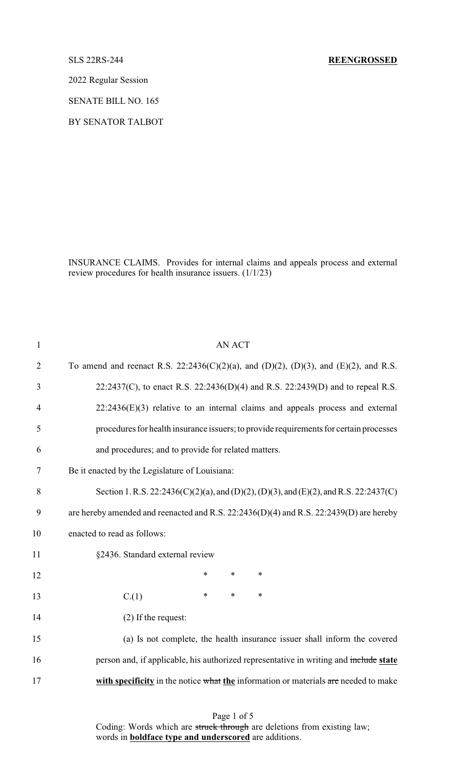2022 Regular Session

SENATE BILL NO. 165

BY SENATOR TALBOT

INSURANCE CLAIMS. Provides for internal claims and appeals process and external review procedures for health insurance issuers. (1/1/23)

| $\mathbf{1}$   | <b>AN ACT</b>                                                                          |
|----------------|----------------------------------------------------------------------------------------|
| $\overline{2}$ | To amend and reenact R.S. 22:2436(C)(2)(a), and (D)(2), (D)(3), and (E)(2), and R.S.   |
| 3              | 22:2437(C), to enact R.S. 22:2436(D)(4) and R.S. 22:2439(D) and to repeal R.S.         |
| $\overline{4}$ | $22:2436(E)(3)$ relative to an internal claims and appeals process and external        |
| 5              | procedures for health insurance issuers; to provide requirements for certain processes |
| 6              | and procedures; and to provide for related matters.                                    |
| 7              | Be it enacted by the Legislature of Louisiana:                                         |
| 8              | Section 1. R.S. 22:2436(C)(2)(a), and (D)(2), (D)(3), and (E)(2), and R.S. 22:2437(C)  |
| 9              | are hereby amended and reenacted and R.S. 22:2436(D)(4) and R.S. 22:2439(D) are hereby |
| 10             | enacted to read as follows:                                                            |
| 11             | §2436. Standard external review                                                        |
| 12             | $\ast$<br>$\ast$<br>$\ast$                                                             |
| 13             | $\ast$<br>$\ast$<br>$\ast$<br>C.(1)                                                    |
| 14             | (2) If the request:                                                                    |
| 15             | (a) Is not complete, the health insurance issuer shall inform the covered              |
| 16             | person and, if applicable, his authorized representative in writing and include state  |
| 17             | with specificity in the notice what the information or materials are needed to make    |
|                |                                                                                        |

Page 1 of 5 Coding: Words which are struck through are deletions from existing law; words in **boldface type and underscored** are additions.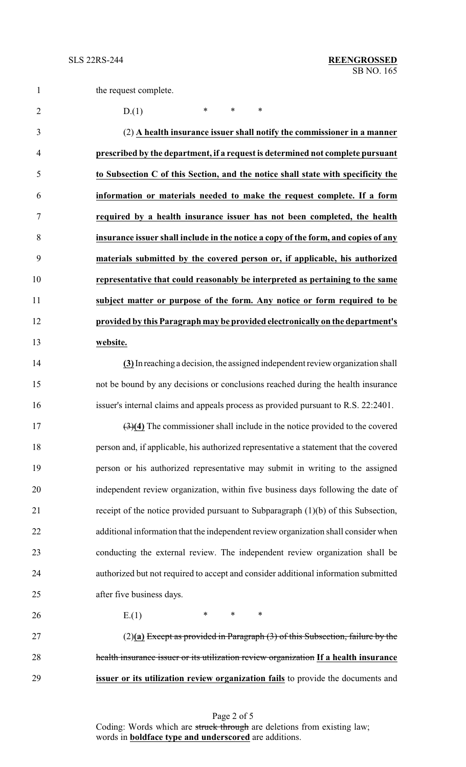2 D.(1) \* \* \*

 (2) **A health insurance issuer shall notify the commissioner in a manner prescribed by the department, if a request is determined not complete pursuant to Subsection C of this Section, and the notice shall state with specificity the information or materials needed to make the request complete. If a form required by a health insurance issuer has not been completed, the health insurance issuer shall include in the notice a copy of the form, and copies of any materials submitted by the covered person or, if applicable, his authorized representative that could reasonably be interpreted as pertaining to the same subject matter or purpose of the form. Any notice or form required to be provided by this Paragraph may be provided electronically on the department's website.**

 **(3)**In reaching a decision, the assigned independent review organization shall not be bound by any decisions or conclusions reached during the health insurance issuer's internal claims and appeals process as provided pursuant to R.S. 22:2401.

 (3)**(4)** The commissioner shall include in the notice provided to the covered person and, if applicable, his authorized representative a statement that the covered person or his authorized representative may submit in writing to the assigned independent review organization, within five business days following the date of receipt of the notice provided pursuant to Subparagraph (1)(b) of this Subsection, additional information that the independent review organization shall consider when conducting the external review. The independent review organization shall be authorized but not required to accept and consider additional information submitted after five business days.

26 E.(1)  $* \t * \t *$ 

 (2)**(a)** Except as provided in Paragraph (3) of this Subsection, failure by the health insurance issuer or its utilization review organization **If a health insurance issuer or its utilization review organization fails** to provide the documents and

> Page 2 of 5 Coding: Words which are struck through are deletions from existing law; words in **boldface type and underscored** are additions.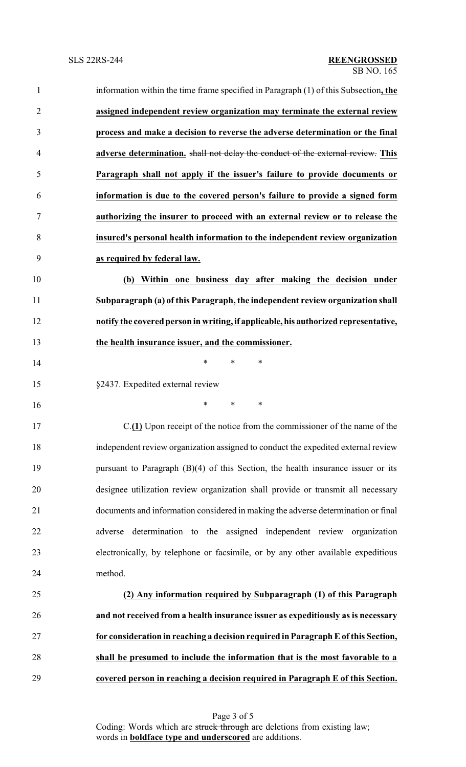| $\mathbf{1}$   | information within the time frame specified in Paragraph (1) of this Subsection, the |
|----------------|--------------------------------------------------------------------------------------|
| $\overline{2}$ | assigned independent review organization may terminate the external review           |
| 3              | process and make a decision to reverse the adverse determination or the final        |
| 4              | adverse determination. shall not delay the conduct of the external review. This      |
| 5              | Paragraph shall not apply if the issuer's failure to provide documents or            |
| 6              | information is due to the covered person's failure to provide a signed form          |
| 7              | authorizing the insurer to proceed with an external review or to release the         |
| 8              | insured's personal health information to the independent review organization         |
| 9              | as required by federal law.                                                          |
| 10             | (b) Within one business day after making the decision under                          |
| 11             | Subparagraph (a) of this Paragraph, the independent review organization shall        |
| 12             | notify the covered person in writing, if applicable, his authorized representative,  |
| 13             | the health insurance issuer, and the commissioner.                                   |
| 14             | $\ast$<br>$\ast$<br>∗                                                                |
| 15             | §2437. Expedited external review                                                     |
| 16             | *<br>$\ast$<br>∗                                                                     |
| 17             | C.(1) Upon receipt of the notice from the commissioner of the name of the            |
| 18             | independent review organization assigned to conduct the expedited external review    |
| 19             | pursuant to Paragraph $(B)(4)$ of this Section, the health insurance issuer or its   |
| 20             | designee utilization review organization shall provide or transmit all necessary     |
| 21             | documents and information considered in making the adverse determination or final    |
| 22             | adverse determination to the assigned independent review organization                |
| 23             | electronically, by telephone or facsimile, or by any other available expeditious     |
| 24             | method.                                                                              |
| 25             | (2) Any information required by Subparagraph (1) of this Paragraph                   |
| 26             | and not received from a health insurance issuer as expeditiously as is necessary     |
| 27             | for consideration in reaching a decision required in Paragraph E of this Section,    |
| 28             | shall be presumed to include the information that is the most favorable to a         |
| 29             | covered person in reaching a decision required in Paragraph E of this Section.       |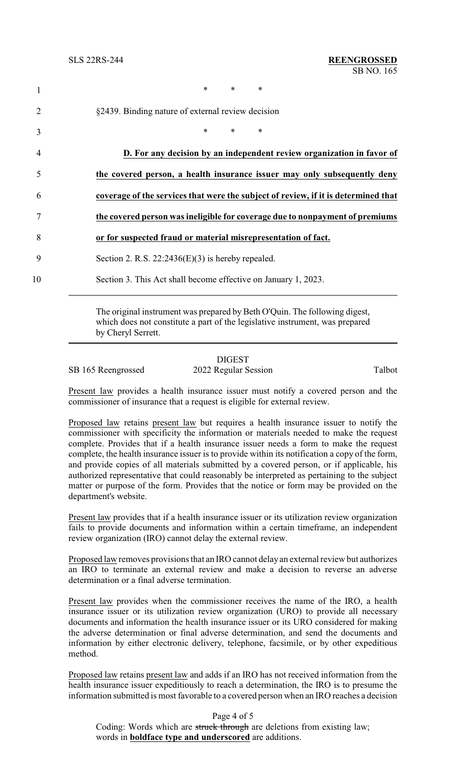|                | $\ast$<br>$\ast$<br>$\ast$                                                         |
|----------------|------------------------------------------------------------------------------------|
| 2              | §2439. Binding nature of external review decision                                  |
| 3              | $\ast$<br>$\ast$<br>$\ast$                                                         |
| $\overline{4}$ | D. For any decision by an independent review organization in favor of              |
| 5              | the covered person, a health insurance issuer may only subsequently deny           |
| 6              | coverage of the services that were the subject of review, if it is determined that |
|                | the covered person was ineligible for coverage due to nonpayment of premiums       |
| 8              | or for suspected fraud or material misrepresentation of fact.                      |
| 9              | Section 2. R.S. $22:2436(E)(3)$ is hereby repealed.                                |
| 10             | Section 3. This Act shall become effective on January 1, 2023.                     |
|                |                                                                                    |

The original instrument was prepared by Beth O'Quin. The following digest, which does not constitute a part of the legislative instrument, was prepared by Cheryl Serrett.

## DIGEST

SB 165 Reengrossed 2022 Regular Session Talbot

Present law provides a health insurance issuer must notify a covered person and the commissioner of insurance that a request is eligible for external review.

Proposed law retains present law but requires a health insurance issuer to notify the commissioner with specificity the information or materials needed to make the request complete. Provides that if a health insurance issuer needs a form to make the request complete, the health insurance issuer is to provide within its notification a copy of the form, and provide copies of all materials submitted by a covered person, or if applicable, his authorized representative that could reasonably be interpreted as pertaining to the subject matter or purpose of the form. Provides that the notice or form may be provided on the department's website.

Present law provides that if a health insurance issuer or its utilization review organization fails to provide documents and information within a certain timeframe, an independent review organization (IRO) cannot delay the external review.

Proposed law removes provisions that an IRO cannot delayan external review but authorizes an IRO to terminate an external review and make a decision to reverse an adverse determination or a final adverse termination.

Present law provides when the commissioner receives the name of the IRO, a health insurance issuer or its utilization review organization (URO) to provide all necessary documents and information the health insurance issuer or its URO considered for making the adverse determination or final adverse determination, and send the documents and information by either electronic delivery, telephone, facsimile, or by other expeditious method.

Proposed law retains present law and adds if an IRO has not received information from the health insurance issuer expeditiously to reach a determination, the IRO is to presume the information submitted is most favorable to a covered person when an IRO reaches a decision

Page 4 of 5

Coding: Words which are struck through are deletions from existing law; words in **boldface type and underscored** are additions.